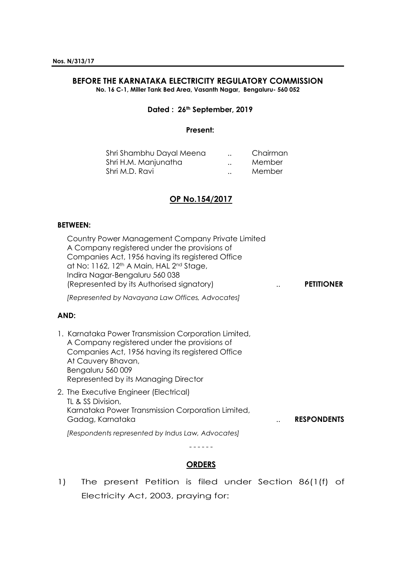# **BEFORE THE KARNATAKA ELECTRICITY REGULATORY COMMISSION**

**No. 16 C-1, Miller Tank Bed Area, Vasanth Nagar, Bengaluru- 560 052**

#### **Dated : 26th September, 2019**

#### **Present:**

| Shri Shambhu Dayal Meena | <br>Chairman |
|--------------------------|--------------|
| Shri H.M. Manjunatha     | <br>Member   |
| Shri M.D. Ravi           | <br>Member   |

### **OP No.154/2017**

#### **BETWEEN:**

Country Power Management Company Private Limited A Company registered under the provisions of Companies Act, 1956 having its registered Office at No: 1162, 12<sup>th</sup> A Main, HAL 2<sup>nd</sup> Stage, Indira Nagar-Bengaluru 560 038 (Represented by its Authorised signatory) .. **PETITIONER**

*[Represented by Navayana Law Offices, Advocates]*

### **AND:**

- 1. Karnataka Power Transmission Corporation Limited, A Company registered under the provisions of Companies Act, 1956 having its registered Office At Cauvery Bhavan, Bengaluru 560 009 Represented by its Managing Director
- 2. The Executive Engineer (Electrical) TL & SS Division, Karnataka Power Transmission Corporation Limited, Gadag, Karnataka .. **RESPONDENTS** *[Respondents represented by Indus Law, Advocates]*

# - - - - - - **ORDERS**

1) The present Petition is filed under Section 86(1(f) of Electricity Act, 2003, praying for: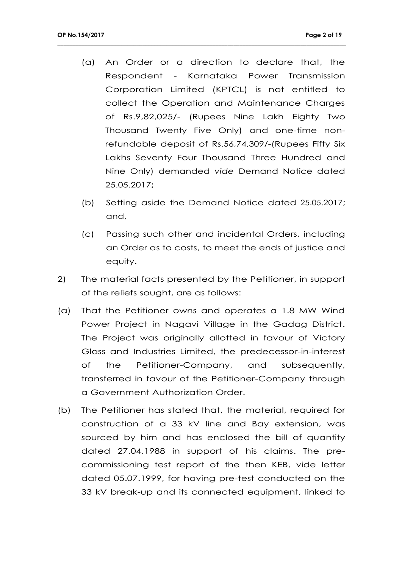(a) An Order or a direction to declare that, the Respondent - Karnataka Power Transmission Corporation Limited (KPTCL) is not entitled to collect the Operation and Maintenance Charges of Rs.9,82,025/- (Rupees Nine Lakh Eighty Two Thousand Twenty Five Only) and one-time nonrefundable deposit of Rs.56,74,309/-(Rupees Fifty Six Lakhs Seventy Four Thousand Three Hundred and Nine Only) demanded *vide* Demand Notice dated 25.05.2017**;**

- (b) Setting aside the Demand Notice dated 25.05.2017; and,
- (c) Passing such other and incidental Orders, including an Order as to costs, to meet the ends of justice and equity.
- 2) The material facts presented by the Petitioner, in support of the reliefs sought, are as follows:
- (a) That the Petitioner owns and operates a 1.8 MW Wind Power Project in Nagavi Village in the Gadag District. The Project was originally allotted in favour of Victory Glass and Industries Limited, the predecessor-in-interest of the Petitioner-Company, and subsequently, transferred in favour of the Petitioner-Company through a Government Authorization Order.
- (b) The Petitioner has stated that, the material, required for construction of a 33 kV line and Bay extension, was sourced by him and has enclosed the bill of quantity dated 27.04.1988 in support of his claims. The precommissioning test report of the then KEB, vide letter dated 05.07.1999, for having pre-test conducted on the 33 kV break-up and its connected equipment, linked to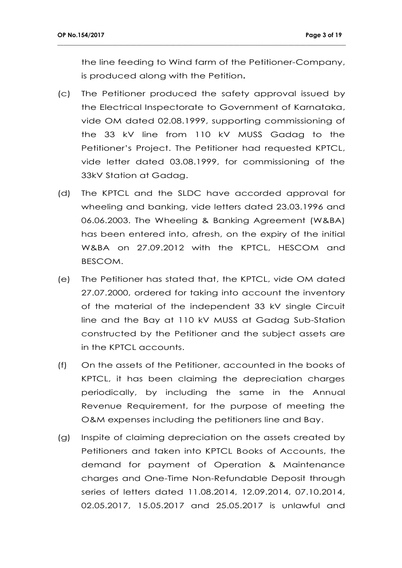the line feeding to Wind farm of the Petitioner-Company, is produced along with the Petition**.**

- (c) The Petitioner produced the safety approval issued by the Electrical Inspectorate to Government of Karnataka, vide OM dated 02.08.1999, supporting commissioning of the 33 kV line from 110 kV MUSS Gadag to the Petitioner's Project. The Petitioner had requested KPTCL, vide letter dated 03.08.1999, for commissioning of the 33kV Station at Gadag.
- (d) The KPTCL and the SLDC have accorded approval for wheeling and banking, vide letters dated 23.03.1996 and 06.06.2003. The Wheeling & Banking Agreement (W&BA) has been entered into, afresh, on the expiry of the initial W&BA on 27.09.2012 with the KPTCL, HESCOM and BESCOM.
- (e) The Petitioner has stated that, the KPTCL, vide OM dated 27.07.2000, ordered for taking into account the inventory of the material of the independent 33 kV single Circuit line and the Bay at 110 kV MUSS at Gadag Sub-Station constructed by the Petitioner and the subject assets are in the KPTCL accounts.
- (f) On the assets of the Petitioner, accounted in the books of KPTCL, it has been claiming the depreciation charges periodically, by including the same in the Annual Revenue Requirement, for the purpose of meeting the O&M expenses including the petitioners line and Bay.
- (g) Inspite of claiming depreciation on the assets created by Petitioners and taken into KPTCL Books of Accounts, the demand for payment of Operation & Maintenance charges and One-Time Non-Refundable Deposit through series of letters dated 11.08.2014, 12.09.2014, 07.10.2014, 02.05.2017, 15.05.2017 and 25.05.2017 is unlawful and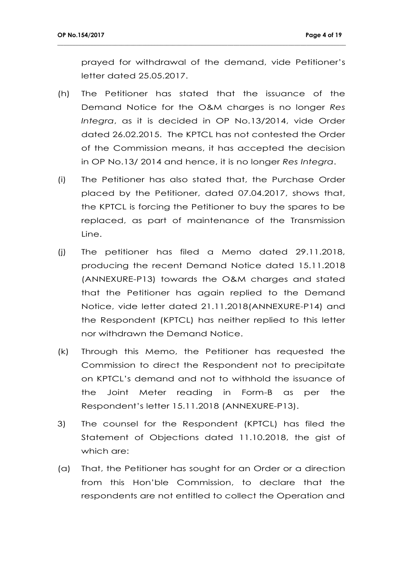prayed for withdrawal of the demand, vide Petitioner's letter dated 25.05.2017.

- (h) The Petitioner has stated that the issuance of the Demand Notice for the O&M charges is no longer *Res Integra*, as it is decided in OP No.13/2014, vide Order dated 26.02.2015. The KPTCL has not contested the Order of the Commission means, it has accepted the decision in OP No.13/ 2014 and hence, it is no longer *Res Integra*.
- (i) The Petitioner has also stated that, the Purchase Order placed by the Petitioner, dated 07.04.2017, shows that, the KPTCL is forcing the Petitioner to buy the spares to be replaced, as part of maintenance of the Transmission Line.
- (j) The petitioner has filed a Memo dated 29.11.2018, producing the recent Demand Notice dated 15.11.2018 (ANNEXURE-P13) towards the O&M charges and stated that the Petitioner has again replied to the Demand Notice, vide letter dated 21.11.2018(ANNEXURE-P14) and the Respondent (KPTCL) has neither replied to this letter nor withdrawn the Demand Notice.
- (k) Through this Memo, the Petitioner has requested the Commission to direct the Respondent not to precipitate on KPTCL's demand and not to withhold the issuance of the Joint Meter reading in Form-B as per the Respondent's letter 15.11.2018 (ANNEXURE-P13).
- 3) The counsel for the Respondent (KPTCL) has filed the Statement of Objections dated 11.10.2018, the gist of which are:
- (a) That, the Petitioner has sought for an Order or a direction from this Hon'ble Commission, to declare that the respondents are not entitled to collect the Operation and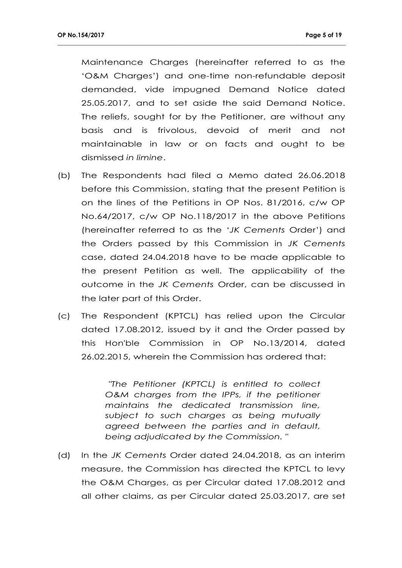Maintenance Charges (hereinafter referred to as the 'O&M Charges') and one-time non-refundable deposit demanded, vide impugned Demand Notice dated 25.05.2017, and to set aside the said Demand Notice. The reliefs, sought for by the Petitioner, are without any basis and is frivolous, devoid of merit and not maintainable in law or on facts and ought to be dismissed *in limine*.

**\_\_\_\_\_\_\_\_\_\_\_\_\_\_\_\_\_\_\_\_\_\_\_\_\_\_\_\_\_\_\_\_\_\_\_\_\_\_\_\_\_\_\_\_\_\_\_\_\_\_\_\_\_\_\_\_\_\_\_\_\_\_\_\_\_\_\_\_\_\_\_\_\_\_\_\_\_\_\_\_\_\_\_\_\_\_\_\_\_\_\_\_\_\_\_**

- (b) The Respondents had filed a Memo dated 26.06.2018 before this Commission, stating that the present Petition is on the lines of the Petitions in OP Nos. 81/2016, c/w OP No.64/2017, c/w OP No.118/2017 in the above Petitions (hereinafter referred to as the '*JK Cements* Order') and the Orders passed by this Commission in *JK Cements*  case, dated 24.04.2018 have to be made applicable to the present Petition as well. The applicability of the outcome in the *JK Cements* Order, can be discussed in the later part of this Order.
- (c) The Respondent (KPTCL) has relied upon the Circular dated 17.08.2012, issued by it and the Order passed by this Hon'ble Commission in OP No.13/2014, dated 26.02.2015, wherein the Commission has ordered that:

*"The Petitioner (KPTCL) is entitled to collect O&M charges from the IPPs, if the petitioner maintains the dedicated transmission line, subject to such charges as being mutually agreed between the parties and in default, being adjudicated by the Commission. "*

(d) In the *JK Cements* Order dated 24.04.2018, as an interim measure, the Commission has directed the KPTCL to levy the O&M Charges, as per Circular dated 17.08.2012 and all other claims, as per Circular dated 25.03.2017, are set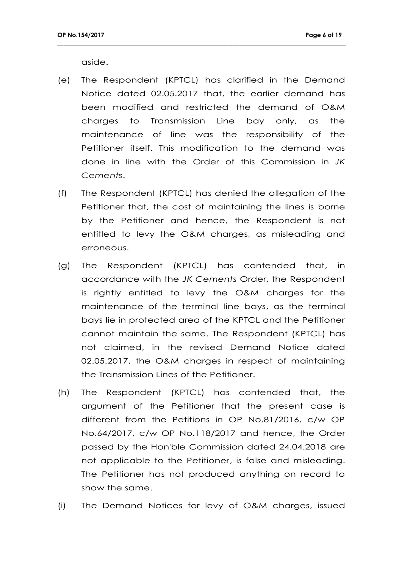aside.

(e) The Respondent (KPTCL) has clarified in the Demand Notice dated 02.05.2017 that, the earlier demand has been modified and restricted the demand of O&M charges to Transmission Line bay only, as the maintenance of line was the responsibility of the Petitioner itself. This modification to the demand was done in line with the Order of this Commission in *JK Cements*.

- (f) The Respondent (KPTCL) has denied the allegation of the Petitioner that, the cost of maintaining the lines is borne by the Petitioner and hence, the Respondent is not entitled to levy the O&M charges, as misleading and erroneous.
- (g) The Respondent (KPTCL) has contended that, in accordance with the *JK Cements* Order, the Respondent is rightly entitled to levy the O&M charges for the maintenance of the terminal line bays, as the terminal bays lie in protected area of the KPTCL and the Petitioner cannot maintain the same. The Respondent (KPTCL) has not claimed, in the revised Demand Notice dated 02.05.2017, the O&M charges in respect of maintaining the Transmission Lines of the Petitioner.
- (h) The Respondent (KPTCL) has contended that, the argument of the Petitioner that the present case is different from the Petitions in OP No.81/2016, c/w OP No.64/2017, c/w OP No.118/2017 and hence, the Order passed by the Hon'ble Commission dated 24.04.2018 are not applicable to the Petitioner, is false and misleading. The Petitioner has not produced anything on record to show the same.
- (i) The Demand Notices for levy of O&M charges, issued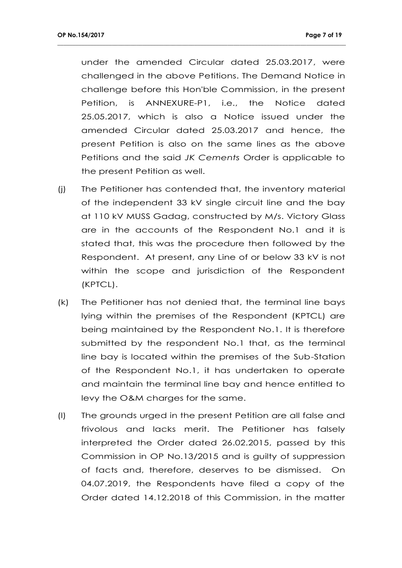under the amended Circular dated 25.03.2017, were challenged in the above Petitions. The Demand Notice in challenge before this Hon'ble Commission, in the present Petition, is ANNEXURE-P1, i.e., the Notice dated 25.05.2017, which is also a Notice issued under the amended Circular dated 25.03.2017 and hence, the present Petition is also on the same lines as the above Petitions and the said *JK Cements* Order is applicable to the present Petition as well.

- (j) The Petitioner has contended that, the inventory material of the independent 33 kV single circuit line and the bay at 110 kV MUSS Gadag, constructed by M/s. Victory Glass are in the accounts of the Respondent No.1 and it is stated that, this was the procedure then followed by the Respondent. At present, any Line of or below 33 kV is not within the scope and jurisdiction of the Respondent (KPTCL).
- (k) The Petitioner has not denied that, the terminal line bays lying within the premises of the Respondent (KPTCL) are being maintained by the Respondent No.1. It is therefore submitted by the respondent No.1 that, as the terminal line bay is located within the premises of the Sub-Station of the Respondent No.1, it has undertaken to operate and maintain the terminal line bay and hence entitled to levy the O&M charges for the same.
- (l) The grounds urged in the present Petition are all false and frivolous and lacks merit. The Petitioner has falsely interpreted the Order dated 26.02.2015, passed by this Commission in OP No.13/2015 and is guilty of suppression of facts and, therefore, deserves to be dismissed. On 04.07.2019, the Respondents have filed a copy of the Order dated 14.12.2018 of this Commission, in the matter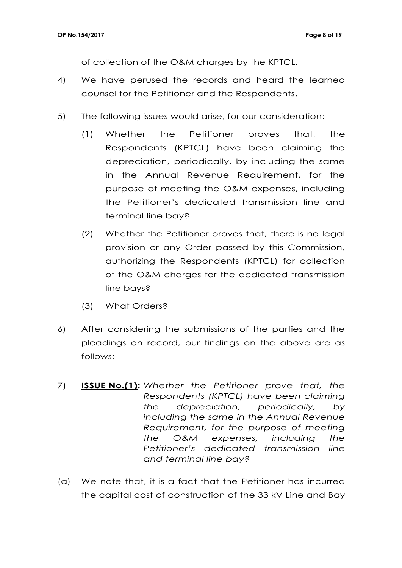of collection of the O&M charges by the KPTCL.

4) We have perused the records and heard the learned counsel for the Petitioner and the Respondents.

- 5) The following issues would arise, for our consideration:
	- (1) Whether the Petitioner proves that, the Respondents (KPTCL) have been claiming the depreciation, periodically, by including the same in the Annual Revenue Requirement, for the purpose of meeting the O&M expenses, including the Petitioner's dedicated transmission line and terminal line bay?
	- (2) Whether the Petitioner proves that, there is no legal provision or any Order passed by this Commission, authorizing the Respondents (KPTCL) for collection of the O&M charges for the dedicated transmission line bays?
	- (3) What Orders?
- 6) After considering the submissions of the parties and the pleadings on record, our findings on the above are as follows:
- 7) **ISSUE No.(1):** *Whether the Petitioner prove that, the Respondents (KPTCL) have been claiming the depreciation, periodically, by including the same in the Annual Revenue Requirement, for the purpose of meeting the O&M expenses, including the Petitioner's dedicated transmission line and terminal line bay?*
- (a) We note that, it is a fact that the Petitioner has incurred the capital cost of construction of the 33 kV Line and Bay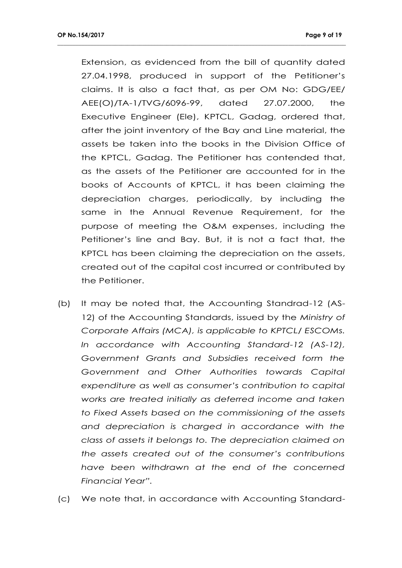Extension, as evidenced from the bill of quantity dated 27.04.1998, produced in support of the Petitioner's claims. It is also a fact that, as per OM No: GDG/EE/ AEE(O)/TA-1/TVG/6096-99, dated 27.07.2000, the Executive Engineer (Ele), KPTCL, Gadag, ordered that, after the joint inventory of the Bay and Line material, the assets be taken into the books in the Division Office of the KPTCL, Gadag. The Petitioner has contended that, as the assets of the Petitioner are accounted for in the books of Accounts of KPTCL, it has been claiming the depreciation charges, periodically, by including the same in the Annual Revenue Requirement, for the purpose of meeting the O&M expenses, including the Petitioner's line and Bay. But, it is not a fact that, the KPTCL has been claiming the depreciation on the assets, created out of the capital cost incurred or contributed by the Petitioner.

- (b) It may be noted that, the Accounting Standrad-12 (AS-12) of the Accounting Standards, issued by the *Ministry of Corporate Affairs (MCA), is applicable to KPTCL/ ESCOMs. In accordance with Accounting Standard-12 (AS-12), Government Grants and Subsidies received form the Government and Other Authorities towards Capital expenditure as well as consumer's contribution to capital works are treated initially as deferred income and taken to Fixed Assets based on the commissioning of the assets and depreciation is charged in accordance with the class of assets it belongs to. The depreciation claimed on the assets created out of the consumer's contributions have been withdrawn at the end of the concerned Financial Year".*
- (c) We note that, in accordance with Accounting Standard-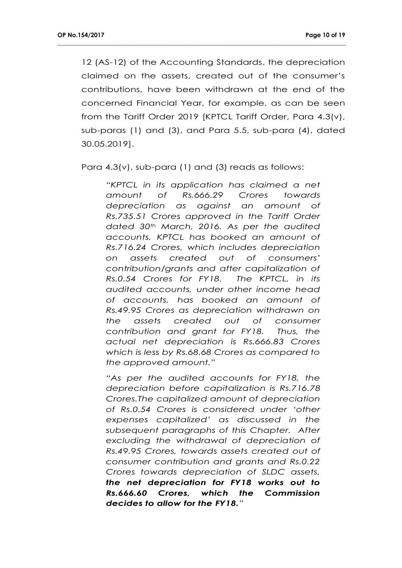12 (AS-12) of the Accounting Standards, the depreciation claimed on the assets, created out of the consumer's contributions, have been withdrawn at the end of the concerned Financial Year, for example, as can be seen from the Tariff Order 2019 [KPTCL Tariff Order, Para 4.3(v), sub-paras (1) and (3), and Para 5.5, sub-para (4), dated 30.05.2019].

**\_\_\_\_\_\_\_\_\_\_\_\_\_\_\_\_\_\_\_\_\_\_\_\_\_\_\_\_\_\_\_\_\_\_\_\_\_\_\_\_\_\_\_\_\_\_\_\_\_\_\_\_\_\_\_\_\_\_\_\_\_\_\_\_\_\_\_\_\_\_\_\_\_\_\_\_\_\_\_\_\_\_\_\_\_\_\_\_\_\_\_\_\_\_\_**

Para 4.3(v), sub-para (1) and (3) reads as follows:

*"KPTCL in its application has claimed a net amount of Rs.666.29 Crores towards depreciation as against an amount of Rs.735.51 Crores approved in the Tariff Order dated 30th March, 2016. As per the audited accounts, KPTCL has booked an amount of Rs.716.24 Crores, which includes depreciation on assets created out of consumers' contribution/grants and after capitalization of Rs.0.54 Crores for FY18. The KPTCL, in its audited accounts, under other income head of accounts, has booked an amount of Rs.49.95 Crores as depreciation withdrawn on the assets created out of consumer contribution and grant for FY18. Thus, the actual net depreciation is Rs.666.83 Crores which is less by Rs.68.68 Crores as compared to the approved amount."*

*"As per the audited accounts for FY18, the depreciation before capitalization is Rs.716.78 Crores.The capitalized amount of depreciation of Rs.0.54 Crores is considered under 'other expenses capitalized' as discussed in the subsequent paragraphs of this Chapter. After excluding the withdrawal of depreciation of Rs.49.95 Crores, towards assets created out of consumer contribution and grants and Rs.0.22 Crores towards depreciation of SLDC assets, the net depreciation for FY18 works out to Rs.666.60 Crores, which the Commission decides to allow for the FY18."*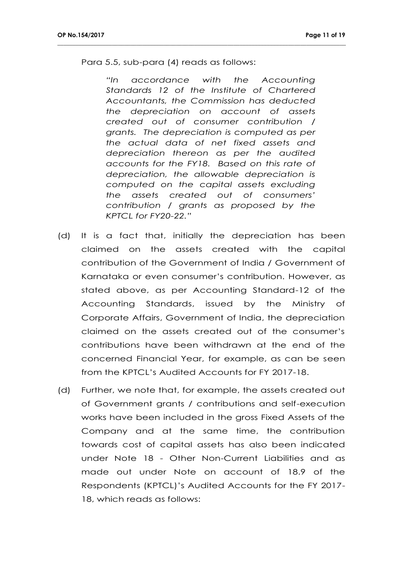Para 5.5, sub-para (4) reads as follows:

*"In accordance with the Accounting Standards 12 of the Institute of Chartered Accountants, the Commission has deducted the depreciation on account of assets created out of consumer contribution / grants. The depreciation is computed as per the actual data of net fixed assets and depreciation thereon as per the audited accounts for the FY18. Based on this rate of depreciation, the allowable depreciation is computed on the capital assets excluding the assets created out of consumers' contribution / grants as proposed by the KPTCL for FY20-22."*

- (d) It is a fact that, initially the depreciation has been claimed on the assets created with the capital contribution of the Government of India / Government of Karnataka or even consumer's contribution. However, as stated above, as per Accounting Standard-12 of the Accounting Standards, issued by the Ministry of Corporate Affairs, Government of India, the depreciation claimed on the assets created out of the consumer's contributions have been withdrawn at the end of the concerned Financial Year, for example, as can be seen from the KPTCL's Audited Accounts for FY 2017-18.
- (d) Further, we note that, for example, the assets created out of Government grants / contributions and self-execution works have been included in the gross Fixed Assets of the Company and at the same time, the contribution towards cost of capital assets has also been indicated under Note 18 - Other Non-Current Liabilities and as made out under Note on account of 18.9 of the Respondents (KPTCL)'s Audited Accounts for the FY 2017- 18, which reads as follows: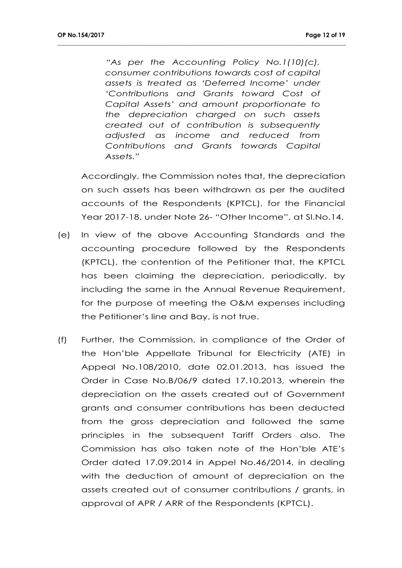*"As per the Accounting Policy No.1(10)(c), consumer contributions towards cost of capital assets is treated as 'Deferred Income' under 'Contributions and Grants toward Cost of Capital Assets' and amount proportionate to the depreciation charged on such assets created out of contribution is subsequently adjusted as income and reduced from Contributions and Grants towards Capital Assets."*

**\_\_\_\_\_\_\_\_\_\_\_\_\_\_\_\_\_\_\_\_\_\_\_\_\_\_\_\_\_\_\_\_\_\_\_\_\_\_\_\_\_\_\_\_\_\_\_\_\_\_\_\_\_\_\_\_\_\_\_\_\_\_\_\_\_\_\_\_\_\_\_\_\_\_\_\_\_\_\_\_\_\_\_\_\_\_\_\_\_\_\_\_\_\_\_**

Accordingly, the Commission notes that, the depreciation on such assets has been withdrawn as per the audited accounts of the Respondents (KPTCL), for the Financial Year 2017-18, under Note 26- "Other Income", at Sl.No.14.

- (e) In view of the above Accounting Standards and the accounting procedure followed by the Respondents (KPTCL), the contention of the Petitioner that, the KPTCL has been claiming the depreciation, periodically, by including the same in the Annual Revenue Requirement, for the purpose of meeting the O&M expenses including the Petitioner's line and Bay, is not true.
- (f) Further, the Commission, in compliance of the Order of the Hon'ble Appellate Tribunal for Electricity (ATE) in Appeal No.108/2010, date 02.01.2013, has issued the Order in Case No.B/06/9 dated 17.10.2013, wherein the depreciation on the assets created out of Government grants and consumer contributions has been deducted from the gross depreciation and followed the same principles in the subsequent Tariff Orders also. The Commission has also taken note of the Hon'ble ATE's Order dated 17.09.2014 in Appel No.46/2014, in dealing with the deduction of amount of depreciation on the assets created out of consumer contributions / grants, in approval of APR / ARR of the Respondents (KPTCL).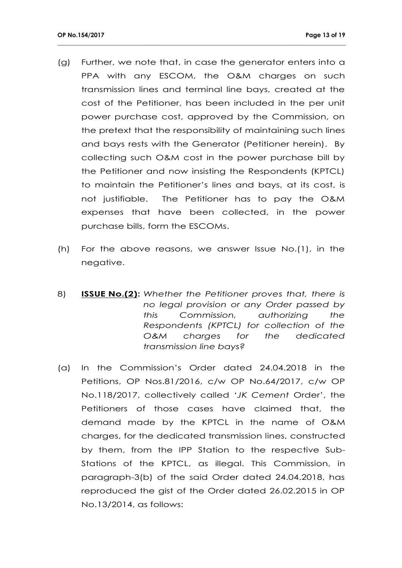(g) Further, we note that, in case the generator enters into a PPA with any ESCOM, the O&M charges on such transmission lines and terminal line bays, created at the cost of the Petitioner, has been included in the per unit power purchase cost, approved by the Commission, on the pretext that the responsibility of maintaining such lines and bays rests with the Generator (Petitioner herein). By collecting such O&M cost in the power purchase bill by the Petitioner and now insisting the Respondents (KPTCL) to maintain the Petitioner's lines and bays, at its cost, is not justifiable. The Petitioner has to pay the O&M expenses that have been collected, in the power purchase bills, form the ESCOMs.

- (h) For the above reasons, we answer Issue No.(1), in the negative.
- 8) **ISSUE No.(2):** *Whether the Petitioner proves that, there is no legal provision or any Order passed by this Commission, authorizing the Respondents (KPTCL) for collection of the O&M charges for the dedicated transmission line bays?*
- (a) In the Commission's Order dated 24.04.2018 in the Petitions, OP Nos.81/2016, c/w OP No.64/2017, c/w OP No.118/2017, collectively called '*JK Cement* Order', the Petitioners of those cases have claimed that, the demand made by the KPTCL in the name of O&M charges, for the dedicated transmission lines, constructed by them, from the IPP Station to the respective Sub-Stations of the KPTCL, as illegal. This Commission, in paragraph-3(b) of the said Order dated 24.04.2018, has reproduced the gist of the Order dated 26.02.2015 in OP No.13/2014, as follows: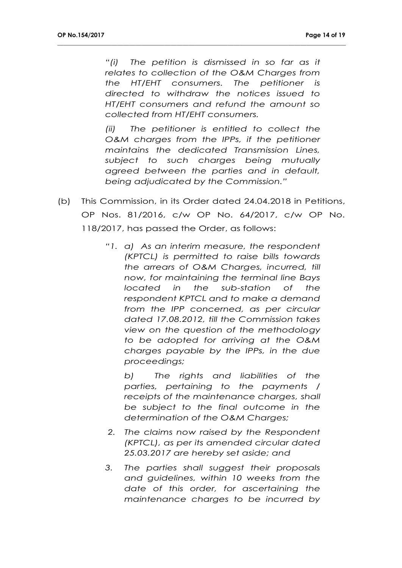*"(i) The petition is dismissed in so far as it relates to collection of the O&M Charges from the HT/EHT consumers. The petitioner is directed to withdraw the notices issued to HT/EHT consumers and refund the amount so collected from HT/EHT consumers.*

**\_\_\_\_\_\_\_\_\_\_\_\_\_\_\_\_\_\_\_\_\_\_\_\_\_\_\_\_\_\_\_\_\_\_\_\_\_\_\_\_\_\_\_\_\_\_\_\_\_\_\_\_\_\_\_\_\_\_\_\_\_\_\_\_\_\_\_\_\_\_\_\_\_\_\_\_\_\_\_\_\_\_\_\_\_\_\_\_\_\_\_\_\_\_\_**

*(ii) The petitioner is entitled to collect the O&M charges from the IPPs, if the petitioner maintains the dedicated Transmission Lines, subject to such charges being mutually agreed between the parties and in default, being adjudicated by the Commission."*

- (b) This Commission, in its Order dated 24.04.2018 in Petitions, OP Nos. 81/2016, c/w OP No. 64/2017, c/w OP No. 118/2017, has passed the Order, as follows:
	- *"1. a) As an interim measure, the respondent (KPTCL) is permitted to raise bills towards the arrears of O&M Charges, incurred, till now, for maintaining the terminal line Bays located in the sub-station of the respondent KPTCL and to make a demand from the IPP concerned, as per circular dated 17.08.2012, till the Commission takes view on the question of the methodology to be adopted for arriving at the O&M charges payable by the IPPs, in the due proceedings;*

*b) The rights and liabilities of the parties, pertaining to the payments / receipts of the maintenance charges, shall be subject to the final outcome in the determination of the O&M Charges;*

- *2. The claims now raised by the Respondent (KPTCL), as per its amended circular dated 25.03.2017 are hereby set aside; and*
- *3. The parties shall suggest their proposals and guidelines, within 10 weeks from the date of this order, for ascertaining the maintenance charges to be incurred by*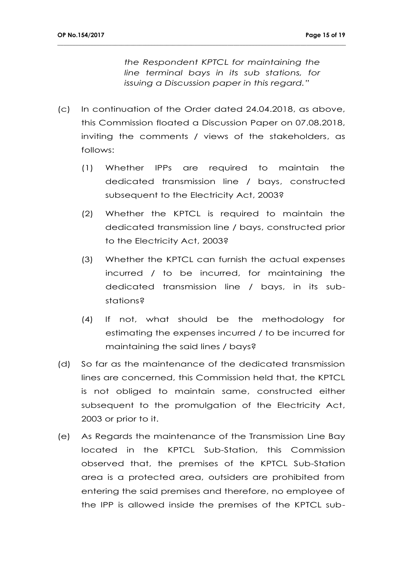*the Respondent KPTCL for maintaining the line terminal bays in its sub stations, for issuing a Discussion paper in this regard."*

(c) In continuation of the Order dated 24.04.2018, as above, this Commission floated a Discussion Paper on 07.08.2018, inviting the comments / views of the stakeholders, as follows:

- (1) Whether IPPs are required to maintain the dedicated transmission line / bays, constructed subsequent to the Electricity Act, 2003?
- (2) Whether the KPTCL is required to maintain the dedicated transmission line / bays, constructed prior to the Electricity Act, 2003?
- (3) Whether the KPTCL can furnish the actual expenses incurred / to be incurred, for maintaining the dedicated transmission line / bays, in its substations?
- (4) If not, what should be the methodology for estimating the expenses incurred / to be incurred for maintaining the said lines / bays?
- (d) So far as the maintenance of the dedicated transmission lines are concerned, this Commission held that, the KPTCL is not obliged to maintain same, constructed either subsequent to the promulgation of the Electricity Act, 2003 or prior to it.
- (e) As Regards the maintenance of the Transmission Line Bay located in the KPTCL Sub-Station, this Commission observed that, the premises of the KPTCL Sub-Station area is a protected area, outsiders are prohibited from entering the said premises and therefore, no employee of the IPP is allowed inside the premises of the KPTCL sub-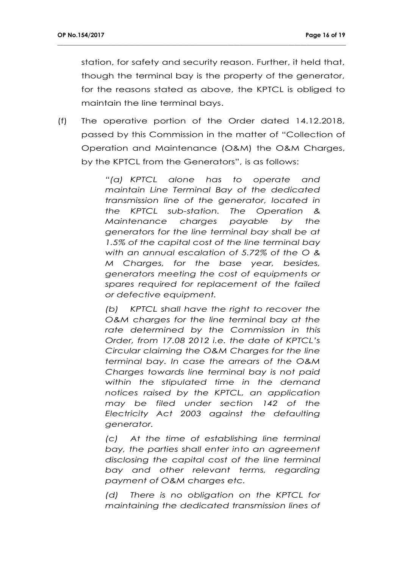station, for safety and security reason. Further, it held that, though the terminal bay is the property of the generator, for the reasons stated as above, the KPTCL is obliged to maintain the line terminal bays.

(f) The operative portion of the Order dated 14.12.2018, passed by this Commission in the matter of "Collection of Operation and Maintenance (O&M) the O&M Charges, by the KPTCL from the Generators", is as follows:

**\_\_\_\_\_\_\_\_\_\_\_\_\_\_\_\_\_\_\_\_\_\_\_\_\_\_\_\_\_\_\_\_\_\_\_\_\_\_\_\_\_\_\_\_\_\_\_\_\_\_\_\_\_\_\_\_\_\_\_\_\_\_\_\_\_\_\_\_\_\_\_\_\_\_\_\_\_\_\_\_\_\_\_\_\_\_\_\_\_\_\_\_\_\_\_**

*"(a) KPTCL alone has to operate and maintain Line Terminal Bay of the dedicated transmission line of the generator, located in the KPTCL sub-station. The Operation & Maintenance charges payable by the generators for the line terminal bay shall be at 1.5% of the capital cost of the line terminal bay with an annual escalation of 5.72% of the O & M Charges, for the base year, besides, generators meeting the cost of equipments or spares required for replacement of the failed or defective equipment.*

*(b) KPTCL shall have the right to recover the O&M charges for the line terminal bay at the rate determined by the Commission in this Order, from 17.08 2012 i.e. the date of KPTCL's Circular claiming the O&M Charges for the line terminal bay. In case the arrears of the O&M Charges towards line terminal bay is not paid within the stipulated time in the demand notices raised by the KPTCL, an application may be filed under section 142 of the Electricity Act 2003 against the defaulting generator.*

*(c) At the time of establishing line terminal bay, the parties shall enter into an agreement disclosing the capital cost of the line terminal bay and other relevant terms, regarding payment of O&M charges etc.*

*(d) There is no obligation on the KPTCL for maintaining the dedicated transmission lines of*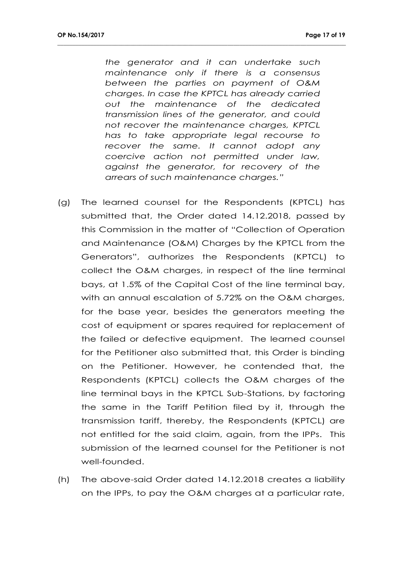*the generator and it can undertake such maintenance only if there is a consensus between the parties on payment of O&M charges. In case the KPTCL has already carried out the maintenance of the dedicated transmission lines of the generator, and could not recover the maintenance charges, KPTCL has to take appropriate legal recourse to recover the same. It cannot adopt any coercive action not permitted under law, against the generator, for recovery of the arrears of such maintenance charges."*

- (g) The learned counsel for the Respondents (KPTCL) has submitted that, the Order dated 14.12.2018, passed by this Commission in the matter of "Collection of Operation and Maintenance (O&M) Charges by the KPTCL from the Generators", authorizes the Respondents (KPTCL) to collect the O&M charges, in respect of the line terminal bays, at 1.5% of the Capital Cost of the line terminal bay, with an annual escalation of 5.72% on the O&M charges, for the base year, besides the generators meeting the cost of equipment or spares required for replacement of the failed or defective equipment. The learned counsel for the Petitioner also submitted that, this Order is binding on the Petitioner. However, he contended that, the Respondents (KPTCL) collects the O&M charges of the line terminal bays in the KPTCL Sub-Stations, by factoring the same in the Tariff Petition filed by it, through the transmission tariff, thereby, the Respondents (KPTCL) are not entitled for the said claim, again, from the IPPs. This submission of the learned counsel for the Petitioner is not well-founded.
- (h) The above-said Order dated 14.12.2018 creates a liability on the IPPs, to pay the O&M charges at a particular rate,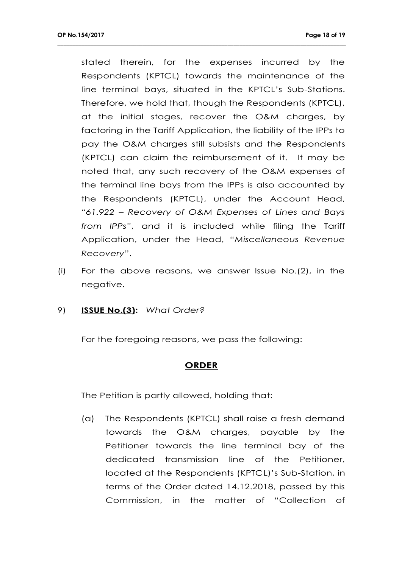stated therein, for the expenses incurred by the Respondents (KPTCL) towards the maintenance of the line terminal bays, situated in the KPTCL's Sub-Stations. Therefore, we hold that, though the Respondents (KPTCL), at the initial stages, recover the O&M charges, by factoring in the Tariff Application, the liability of the IPPs to pay the O&M charges still subsists and the Respondents (KPTCL) can claim the reimbursement of it. It may be noted that, any such recovery of the O&M expenses of the terminal line bays from the IPPs is also accounted by the Respondents (KPTCL), under the Account Head, *"61.922 – Recovery of O&M Expenses of Lines and Bays from IPPs"*, and it is included while filing the Tariff Application, under the Head, "*Miscellaneous Revenue Recovery*".

**\_\_\_\_\_\_\_\_\_\_\_\_\_\_\_\_\_\_\_\_\_\_\_\_\_\_\_\_\_\_\_\_\_\_\_\_\_\_\_\_\_\_\_\_\_\_\_\_\_\_\_\_\_\_\_\_\_\_\_\_\_\_\_\_\_\_\_\_\_\_\_\_\_\_\_\_\_\_\_\_\_\_\_\_\_\_\_\_\_\_\_\_\_\_\_**

- (i) For the above reasons, we answer Issue No.(2), in the negative.
- 9) **ISSUE No.(3):** *What Order?*

For the foregoing reasons, we pass the following:

## **ORDER**

The Petition is partly allowed, holding that:

(a) The Respondents (KPTCL) shall raise a fresh demand towards the O&M charges, payable by the Petitioner towards the line terminal bay of the dedicated transmission line of the Petitioner, located at the Respondents (KPTCL)'s Sub-Station, in terms of the Order dated 14.12.2018, passed by this Commission, in the matter of "Collection of